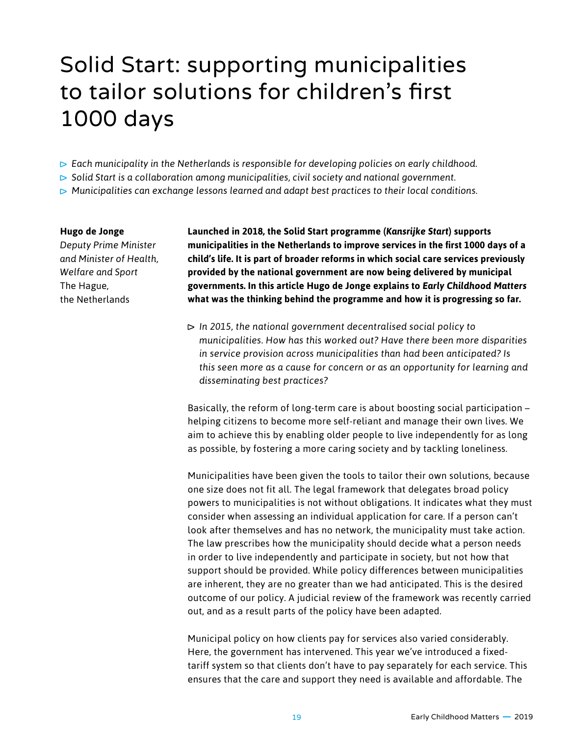## Solid Start: supporting municipalities to tailor solutions for children's first 1000 days

- *Each municipality in the Netherlands is responsible for developing policies on early childhood.*
- *Solid Start is a collaboration among municipalities, civil society and national government.*
- *Municipalities can exchange lessons learned and adapt best practices to their local conditions.*

## **Hugo de Jonge**

*Deputy Prime Minister and Minister of Health, Welfare and Sport* The Hague, the Netherlands

**Launched in 2018, the Solid Start programme (***Kansrijke Start***) supports municipalities in the Netherlands to improve services in the first 1000 days of a child's life. It is part of broader reforms in which social care services previously provided by the national government are now being delivered by municipal governments. In this article Hugo de Jonge explains to** *Early Childhood Matters* **what was the thinking behind the programme and how it is progressing so far.**

 *In 2015, the national government decentralised social policy to municipalities. How has this worked out? Have there been more disparities in service provision across municipalities than had been anticipated? Is this seen more as a cause for concern or as an opportunity for learning and disseminating best practices?* 

Basically, the reform of long-term care is about boosting social participation – helping citizens to become more self-reliant and manage their own lives. We aim to achieve this by enabling older people to live independently for as long as possible, by fostering a more caring society and by tackling loneliness.

Municipalities have been given the tools to tailor their own solutions, because one size does not fit all. The legal framework that delegates broad policy powers to municipalities is not without obligations. It indicates what they must consider when assessing an individual application for care. If a person can't look after themselves and has no network, the municipality must take action. The law prescribes how the municipality should decide what a person needs in order to live independently and participate in society, but not how that support should be provided. While policy differences between municipalities are inherent, they are no greater than we had anticipated. This is the desired outcome of our policy. A judicial review of the framework was recently carried out, and as a result parts of the policy have been adapted.

Municipal policy on how clients pay for services also varied considerably. Here, the government has intervened. This year we've introduced a fixedtariff system so that clients don't have to pay separately for each service. This ensures that the care and support they need is available and affordable. The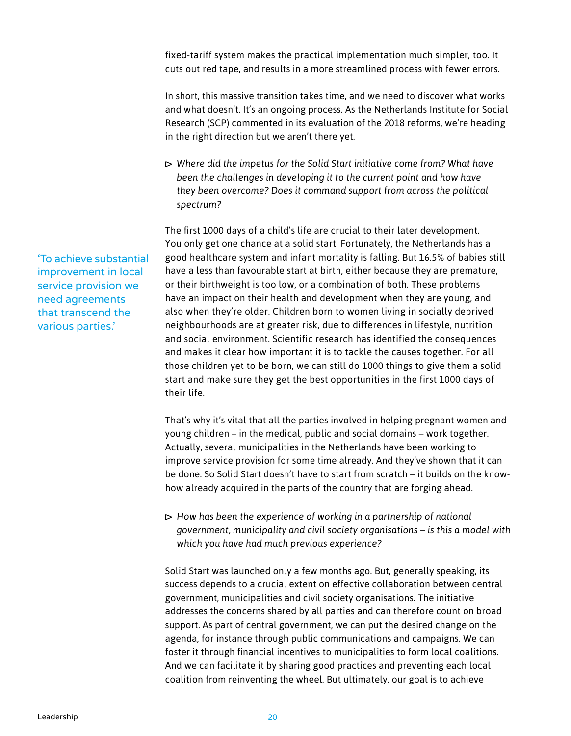fixed-tariff system makes the practical implementation much simpler, too. It cuts out red tape, and results in a more streamlined process with fewer errors.

In short, this massive transition takes time, and we need to discover what works and what doesn't. It's an ongoing process. As the Netherlands Institute for Social Research (SCP) commented in its evaluation of the 2018 reforms, we're heading in the right direction but we aren't there yet.

 *Where did the impetus for the Solid Start initiative come from? What have been the challenges in developing it to the current point and how have they been overcome? Does it command support from across the political spectrum?*

The first 1000 days of a child's life are crucial to their later development. You only get one chance at a solid start. Fortunately, the Netherlands has a good healthcare system and infant mortality is falling. But 16.5% of babies still have a less than favourable start at birth, either because they are premature, or their birthweight is too low, or a combination of both. These problems have an impact on their health and development when they are young, and also when they're older. Children born to women living in socially deprived neighbourhoods are at greater risk, due to differences in lifestyle, nutrition and social environment. Scientific research has identified the consequences and makes it clear how important it is to tackle the causes together. For all those children yet to be born, we can still do 1000 things to give them a solid start and make sure they get the best opportunities in the first 1000 days of their life.

That's why it's vital that all the parties involved in helping pregnant women and young children – in the medical, public and social domains – work together. Actually, several municipalities in the Netherlands have been working to improve service provision for some time already. And they've shown that it can be done. So Solid Start doesn't have to start from scratch – it builds on the knowhow already acquired in the parts of the country that are forging ahead.

 *How has been the experience of working in a partnership of national government, municipality and civil society organisations – is this a model with which you have had much previous experience?*

Solid Start was launched only a few months ago. But, generally speaking, its success depends to a crucial extent on effective collaboration between central government, municipalities and civil society organisations. The initiative addresses the concerns shared by all parties and can therefore count on broad support. As part of central government, we can put the desired change on the agenda, for instance through public communications and campaigns. We can foster it through financial incentives to municipalities to form local coalitions. And we can facilitate it by sharing good practices and preventing each local coalition from reinventing the wheel. But ultimately, our goal is to achieve

'To achieve substantial improvement in local service provision we need agreements that transcend the various parties.'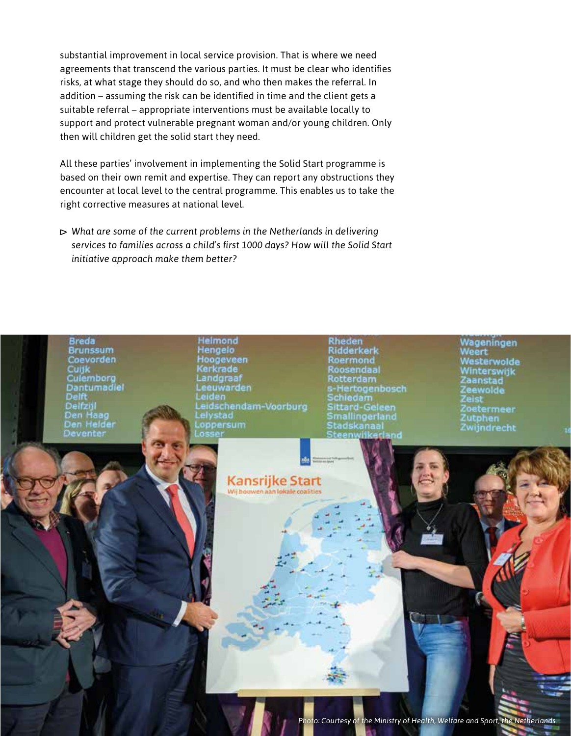substantial improvement in local service provision. That is where we need agreements that transcend the various parties. It must be clear who identifies risks, at what stage they should do so, and who then makes the referral. In addition – assuming the risk can be identified in time and the client gets a suitable referral – appropriate interventions must be available locally to support and protect vulnerable pregnant woman and/or young children. Only then will children get the solid start they need.

All these parties' involvement in implementing the Solid Start programme is based on their own remit and expertise. They can report any obstructions they encounter at local level to the central programme. This enables us to take the right corrective measures at national level.

 *What are some of the current problems in the Netherlands in delivering services to families across a child's first 1000 days? How will the Solid Start initiative approach make them better?*

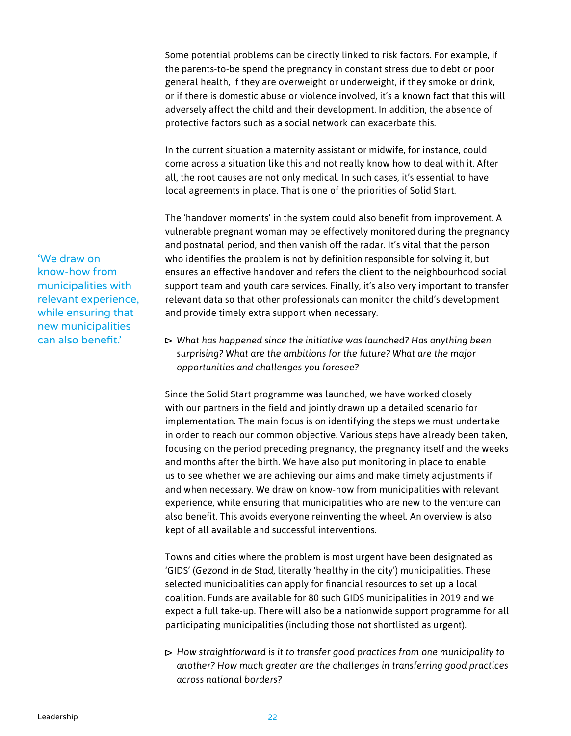Some potential problems can be directly linked to risk factors. For example, if the parents-to-be spend the pregnancy in constant stress due to debt or poor general health, if they are overweight or underweight, if they smoke or drink, or if there is domestic abuse or violence involved, it's a known fact that this will adversely affect the child and their development. In addition, the absence of protective factors such as a social network can exacerbate this.

In the current situation a maternity assistant or midwife, for instance, could come across a situation like this and not really know how to deal with it. After all, the root causes are not only medical. In such cases, it's essential to have local agreements in place. That is one of the priorities of Solid Start.

The 'handover moments' in the system could also benefit from improvement. A vulnerable pregnant woman may be effectively monitored during the pregnancy and postnatal period, and then vanish off the radar. It's vital that the person who identifies the problem is not by definition responsible for solving it, but ensures an effective handover and refers the client to the neighbourhood social support team and youth care services. Finally, it's also very important to transfer relevant data so that other professionals can monitor the child's development and provide timely extra support when necessary.

 *What has happened since the initiative was launched? Has anything been surprising? What are the ambitions for the future? What are the major opportunities and challenges you foresee?*

Since the Solid Start programme was launched, we have worked closely with our partners in the field and jointly drawn up a detailed scenario for implementation. The main focus is on identifying the steps we must undertake in order to reach our common objective. Various steps have already been taken, focusing on the period preceding pregnancy, the pregnancy itself and the weeks and months after the birth. We have also put monitoring in place to enable us to see whether we are achieving our aims and make timely adjustments if and when necessary. We draw on know-how from municipalities with relevant experience, while ensuring that municipalities who are new to the venture can also benefit. This avoids everyone reinventing the wheel. An overview is also kept of all available and successful interventions.

Towns and cities where the problem is most urgent have been designated as 'GIDS' (*Gezond in de Stad*, literally 'healthy in the city') municipalities. These selected municipalities can apply for financial resources to set up a local coalition. Funds are available for 80 such GIDS municipalities in 2019 and we expect a full take-up. There will also be a nationwide support programme for all participating municipalities (including those not shortlisted as urgent).

 *How straightforward is it to transfer good practices from one municipality to another? How much greater are the challenges in transferring good practices across national borders?*

'We draw on know-how from municipalities with relevant experience, while ensuring that new municipalities can also benefit.'